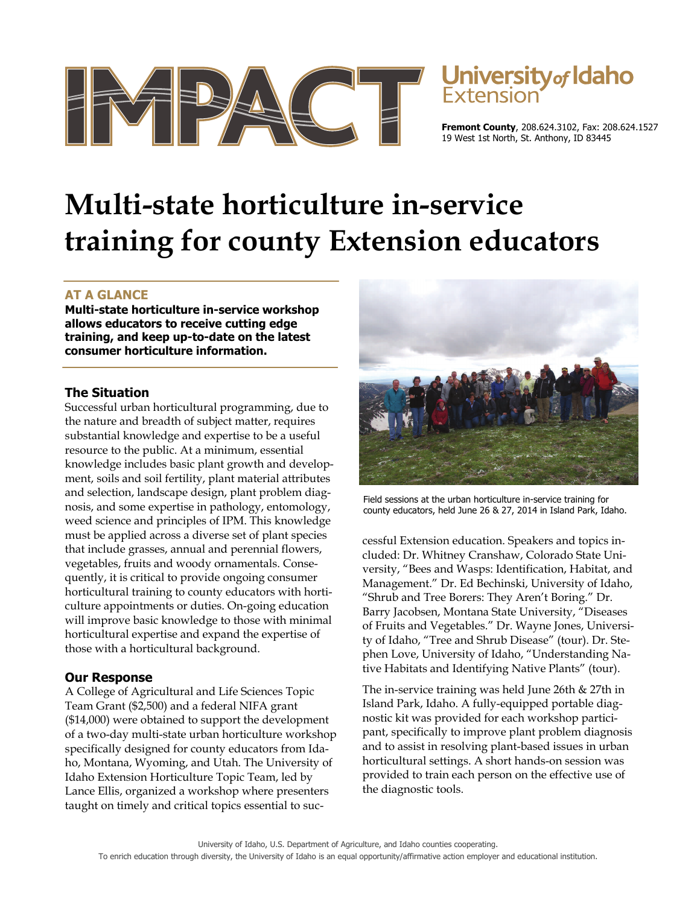



**Fremont County**, 208.624.3102, Fax: 208.624.1527 19 West 1st North, St. Anthony, ID 83445

# **Multi-state horticulture in-service training for county Extension educators**

## **AT A GLANCE**

**Multi-state horticulture in-service workshop allows educators to receive cutting edge training, and keep up-to-date on the latest consumer horticulture information.** 

#### **The Situation**

Successful urban horticultural programming, due to the nature and breadth of subject matter, requires substantial knowledge and expertise to be a useful resource to the public. At a minimum, essential knowledge includes basic plant growth and development, soils and soil fertility, plant material attributes and selection, landscape design, plant problem diagnosis, and some expertise in pathology, entomology, weed science and principles of IPM. This knowledge must be applied across a diverse set of plant species that include grasses, annual and perennial flowers, vegetables, fruits and woody ornamentals. Consequently, it is critical to provide ongoing consumer horticultural training to county educators with horticulture appointments or duties. On-going education will improve basic knowledge to those with minimal horticultural expertise and expand the expertise of those with a horticultural background.

### **Our Response**

A College of Agricultural and Life Sciences Topic Team Grant (\$2,500) and a federal NIFA grant (\$14,000) were obtained to support the development of a two-day multi-state urban horticulture workshop specifically designed for county educators from Idaho, Montana, Wyoming, and Utah. The University of Idaho Extension Horticulture Topic Team, led by Lance Ellis, organized a workshop where presenters taught on timely and critical topics essential to suc-



Field sessions at the urban horticulture in-service training for county educators, held June 26 & 27, 2014 in Island Park, Idaho.

cessful Extension education. Speakers and topics included: Dr. Whitney Cranshaw, Colorado State University, "Bees and Wasps: Identification, Habitat, and Management." Dr. Ed Bechinski, University of Idaho, "Shrub and Tree Borers: They Aren't Boring." Dr. Barry Jacobsen, Montana State University, "Diseases of Fruits and Vegetables." Dr. Wayne Jones, University of Idaho, "Tree and Shrub Disease" (tour). Dr. Stephen Love, University of Idaho, "Understanding Native Habitats and Identifying Native Plants" (tour).

The in-service training was held June 26th & 27th in Island Park, Idaho. A fully-equipped portable diagnostic kit was provided for each workshop participant, specifically to improve plant problem diagnosis and to assist in resolving plant-based issues in urban horticultural settings. A short hands-on session was provided to train each person on the effective use of the diagnostic tools.